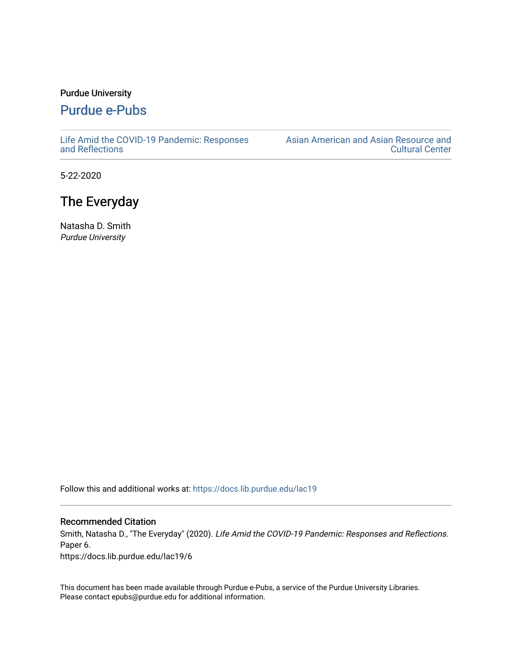## Purdue University

## [Purdue e-Pubs](https://docs.lib.purdue.edu/)

[Life Amid the COVID-19 Pandemic: Responses](https://docs.lib.purdue.edu/lac19)  [and Reflections](https://docs.lib.purdue.edu/lac19) 

[Asian American and Asian Resource and](https://docs.lib.purdue.edu/aaarcc)  [Cultural Center](https://docs.lib.purdue.edu/aaarcc) 

5-22-2020

## The Everyday

Natasha D. Smith Purdue University

Follow this and additional works at: [https://docs.lib.purdue.edu/lac19](https://docs.lib.purdue.edu/lac19?utm_source=docs.lib.purdue.edu%2Flac19%2F6&utm_medium=PDF&utm_campaign=PDFCoverPages)

## Recommended Citation

Smith, Natasha D., "The Everyday" (2020). Life Amid the COVID-19 Pandemic: Responses and Reflections. Paper 6. https://docs.lib.purdue.edu/lac19/6

This document has been made available through Purdue e-Pubs, a service of the Purdue University Libraries. Please contact epubs@purdue.edu for additional information.